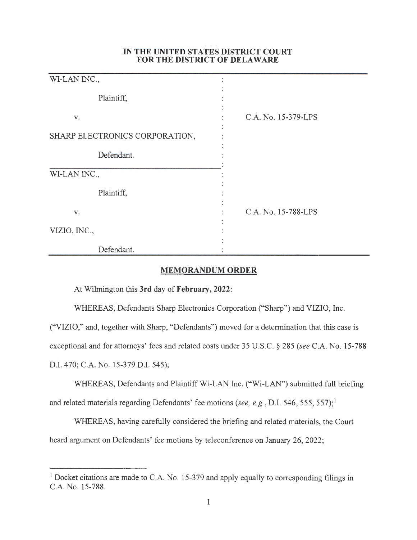## **IN THE UNITED STATES DISTRICT COURT FOR THE DISTRICT OF DELAWARE**

| WI-LAN INC.,                   |                     |
|--------------------------------|---------------------|
| Plaintiff,                     |                     |
| V.                             | C.A. No. 15-379-LPS |
| SHARP ELECTRONICS CORPORATION, |                     |
| Defendant.                     |                     |
| WI-LAN INC.,                   |                     |
| Plaintiff,                     |                     |
| V.                             | C.A. No. 15-788-LPS |
| VIZIO, INC.,                   |                     |
| Defendant.                     |                     |

## **MEMORANDUM ORDER**

At Wilmington this **3rd** day of **February, 2022:** 

WHEREAS, Defendants Sharp Electronics Corporation ("Sharp") and VIZIO, Inc.

("VIZIO," and, together with Sharp, "Defendants") moved for a determination that this case is exceptional and for attorneys' fees and related costs under 35 U.S.C. § 285 *(see* C.A. No. 15-788 D.I. 470; C.A. No. 15-379 D.I. 545);

WHEREAS, Defendants and Plaintiff Wi-LAN Inc. ("Wi-LAN") submitted full briefing and related materials regarding Defendants' fee motions *(see, e.g., D.I.* 546, 555, 557);<sup>1</sup>

WHEREAS, having carefully considered the briefing and related materials, the Court heard argument on Defendants' fee motions by teleconference on January 26, 2022;

<sup>&</sup>lt;sup>1</sup> Docket citations are made to C.A. No. 15-379 and apply equally to corresponding filings in C.A. No. 15-788.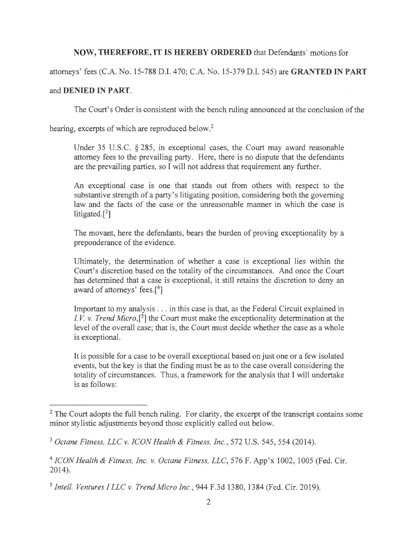## **NOW, THEREFORE, IT IS HEREBY ORDERED** that Defendants' motions for

attorneys' fees (C.A. No. 15-788 D.I. 470; C.A. No. 15-379 D.I. 545) are **GRANTED IN PART** 

## and **DENIED IN PART.**

The Court's Order is consistent with the bench ruling announced at the conclusion of the

hearing, excerpts of which are reproduced below.<sup>2</sup>

Under 35 U.S.C. § 285, in exceptional cases, the Court may award reasonable attorney fees to the prevailing party. Here, there is no dispute that the defendants are the prevailing parties, so I will not address that requirement any further.

An exceptional case is one that stands out from others with respect to the substantive strength of a party's litigating position, considering both the governing law and the facts of the case or the unreasonable manner in which the case is litigated. $[3]$ 

The movant, here the defendants, bears the burden of proving exceptionality by a preponderance of the evidence.

Ultimately, the determination of whether a case is exceptional lies within the Court's discretion based on the totality of the circumstances. And once the Court has determined that a case is exceptional, it still retains the discretion to deny an award of attorneys' fees.<sup>[4]</sup>

Important to my analysis ... in this case is that, as the Federal Circuit explained in *I.V. v. Trend Micro*,<sup>[5]</sup> the Court must make the exceptionality determination at the level of the overall case; that is, the Court must decide whether the case as a whole is exceptional.

It is possible for a case to be overall exceptional based on just one or a few isolated events, but the key is that the finding must be as to the case overall considering the totality of circumstances. Thus, a framework for the analysis that I will undertake is as follows:

<sup>&</sup>lt;sup>2</sup> The Court adopts the full bench ruling. For clarity, the excerpt of the transcript contains some minor stylistic adjustments beyond those explicitly called out below.

<sup>3</sup>*Octane Fitness, LLC v. ICON Health & Fitness, Inc.,* 572 U.S. 545, 554 (2014).

<sup>4</sup>*ICON Health & Fitness, Inc. v. Octane Fitness, LLC,* 576 F. App'x 1002, 1005 (Fed. Cir. 2014).

<sup>5</sup>*Intel!. Ventures I LLC v. Trend Micro Inc.,* 944 F.3d 1380, 1384 (Fed. Cir. 2019).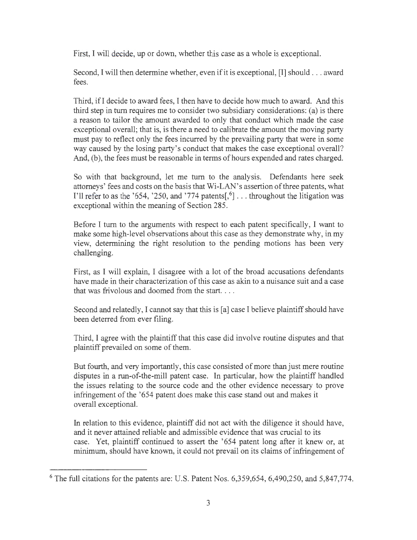First, I will decide, up or down, whether this case as a whole is exceptional.

Second, I will then determine whether, even if it is exceptional, [I] should ... award fees.

Third, ifl decide to award fees, I then have to decide how much to award. And this third step in turn requires me to consider two subsidiary considerations: (a) is there a reason to tailor the amount awarded to only that conduct which made the case exceptional overall; that is, is there a need to calibrate the amount the moving party must pay to reflect only the fees incurred by the prevailing party that were in some way caused by the losing party's conduct that makes the case exceptional overall? And, (b), the fees must be reasonable in terms of hours expended and rates charged.

So with that background, let me turn to the analysis. Defendants here seek attorneys' fees and costs on the basis that Wi-LAN's assertion of three patents, what I'll refer to as the '654, '250, and '774 patents $\left[\right]$ , ... throughout the litigation was exceptional within the meaning of Section 285.

Before I turn to the arguments with respect to each patent specifically, I want to make some high-level observations about this case as they demonstrate why, in my view, determining the right resolution to the pending motions has been very challenging.

First, as I will explain, I disagree with a lot of the broad accusations defendants have made in their characterization of this case as akin to a nuisance suit and a case that was frivolous and doomed from the start....

Second and relatedly, I cannot say that this is [a] case I believe plaintiff should have been deterred from ever filing.

Third, I agree with the plaintiff that this case did involve routine disputes and that plaintiff prevailed on some of them.

But fourth, and very importantly, this case consisted of more than just mere routine disputes in a run-of-the-mill patent case. In particular, how the plaintiff handled the issues relating to the source code and the other evidence necessary to prove infringement of the '654 patent does make this case stand out and makes it overall exceptional.

In relation to this evidence, plaintiff did not act with the diligence it should have, and it never attained reliable and admissible evidence that was crucial to its case. Yet, plaintiff continued to assert the ' 654 patent long after it knew or, at minimum, should have known, it could not prevail on its claims of infringement of

 $6$  The full citations for the patents are: U.S. Patent Nos.  $6,359,654, 6,490,250$ , and  $5,847,774$ .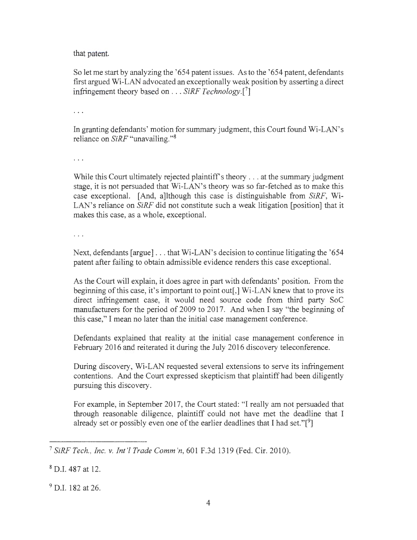that patent.

So let me start by analyzing the '654 patent issues. As to the '654 patent, defendants first argued Wi-LAN advocated an exceptionally weak position by asserting a direct infringement theory based on . . . *SiRF Technology.[7]* 

 $\ddotsc$ 

In granting defendants' motion for summary judgment, this Court found Wi-LAN's reliance on *SiRF* "unavailing. "<sup>8</sup>

 $\cdots$ 

While this Court ultimately rejected plaintiff's theory  $\dots$  at the summary judgment stage, it is not persuaded that Wi-LAN's theory was so far-fetched as to make this case exceptional. [And, a]lthough this case is distinguishable from *SiRF,* Wi-LAN's reliance on *SiRF* did not constitute such a weak litigation [position] that it makes this case, as a whole, exceptional.

 $\ldots$ 

Next, defendants [argue] ... that Wi-LAN's decision to continue litigating the '654 patent after failing to obtain admissible evidence renders this case exceptional.

As the Court will explain, it does agree in part with defendants' position. From the beginning of this case, it's important to point out[,] Wi-LAN knew that to prove its direct infringement case, it would need source code from third party SoC manufacturers for the period of 2009 to 2017. And when I say "the beginning of this case," I mean no later than the initial case management conference.

Defendants explained that reality at the initial case management conference in February 2016 and reiterated it during the July 2016 discovery teleconference.

During discovery, Wi-LAN requested several extensions to serve its infringement contentions. And the Court expressed skepticism that plaintiff had been diligently pursuing this discovery.

For example, in September 2017, the Court stated: "I really am not persuaded that through reasonable diligence, plaintiff could not have met the deadline that I already set or possibly even one of the earlier deadlines that I had set."[<sup>9</sup>]

<sup>9</sup> D.I. 182 at 26.

<sup>7</sup>*SiRFTech. , Inc. v. Int '! Trade Comm 'n,* 601 F.3d 1319 (Fed. Cir. 2010).

<sup>8</sup> D.I. 487 at 12.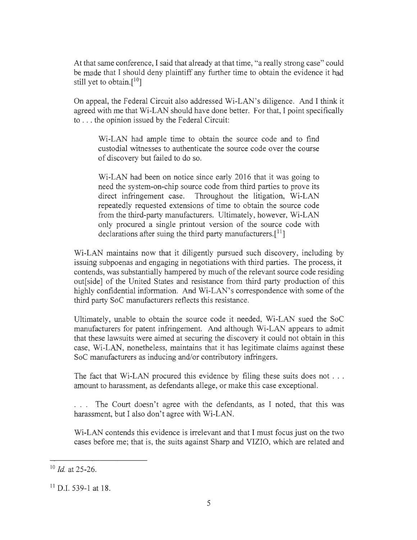At that same conference, I said that already at that time, "a really strong case" could be made that I should deny plaintiff any further time to obtain the evidence it had still yet to obtain.[10]

On appeal, the Federal Circuit also addressed Wi-LAN's diligence. And I think it agreed with me that Wi-LAN should have done better. For that, I point specifically to ... the opinion issued by the Federal Circuit:

Wi-LAN had ample time to obtain the source code and to find custodial witnesses to authenticate the source code over the course of discovery but failed to do so.

Wi-LAN had been on notice since early 2016 that it was going to need the system-on-chip source code from third parties to prove its direct infringement case. Throughout the litigation, Wi-LAN repeatedly requested extensions of time to obtain the source code from the third-party manufacturers. Ultimately, however, Wi-LAN only procured a single printout version of the source code with declarations after suing the third party manufacturers.<sup>[11</sup>]

Wi-LAN maintains now that it diligently pursued such discovery, including by issuing subpoenas and engaging in negotiations with third parties. The process, it contends, was substantially hampered by much of the relevant source code residing out[ side] of the United States and resistance from third party production of this highly confidential information. And Wi-LAN's correspondence with some of the third party SoC manufacturers reflects this resistance.

Ultimately, unable to obtain the source code it needed, Wi-LAN sued the SoC manufacturers for patent infringement. And although Wi-LAN appears to admit that these lawsuits were aimed at securing the discovery it could not obtain in this case, Wi-LAN, nonetheless, maintains that it has legitimate claims against these SoC manufacturers as inducing and/or contributory infringers.

The fact that Wi-LAN procured this evidence by filing these suits does not . . . amount to harassment, as defendants allege, or make this case exceptional.

. . . The Court doesn't agree with the defendants, as I noted, that this was harassment, but I also don't agree with Wi-LAN.

Wi-LAN contends this evidence is irrelevant and that I must focus just on the two cases before me; that is, the suits against Sharp and VIZIO, which are related and

<sup>10</sup>*Id* at 25-26.

<sup>11</sup> D.I. 539-1 at 18.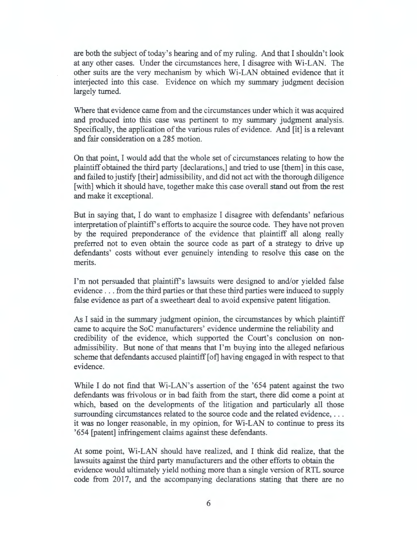are both the subject of today's hearing and of my ruling. And that I shouldn't look at any other cases. Under the circumstances here, I disagree with Wi-LAN. The other suits are the very mechanism by which Wi-LAN obtained evidence that it interjected into this case. Evidence on which my summary judgment decision largely turned.

Where that evidence came from and the circumstances under which it was acquired and produced into this case was pertinent to my summary judgment analysis. Specifically, the application of the various rules of evidence. And [it] is a relevant and fair consideration on a 285 motion.

On that point, I would add that the whole set of circumstances relating to how the plaintiff obtained the third party [declarations,] and tried to use [them] in this case, and failed to justify [their] admissibility, and did not act with the thorough diligence [with] which it should have, together make this case overall stand out from the rest and make it exceptional.

But in saying that, I do want to emphasize I disagree with defendants' nefarious interpretation of plaintiff's efforts to acquire the source code. They have not proven by the required preponderance of the evidence that plaintiff all along really preferred not to even obtain the source code as part of a strategy to drive up defendants' costs without ever genuinely intending to resolve this case on the merits.

I'm not persuaded that plaintiff's lawsuits were designed to and/or yielded false evidence ... from the third parties or that these third parties were induced to supply false evidence as part of a sweetheart deal to avoid expensive patent litigation.

As I said in the summary judgment opinion, the circumstances by which plaintiff came to acquire the SoC manufacturers' evidence undermine the reliability and credibility of the evidence, which supported the Court's conclusion on nonadmissibility. But none of that means that I'm buying into the alleged nefarious scheme that defendants accused plaintiff [ of] having engaged in with respect to that evidence.

While I do not find that Wi-LAN's assertion of the '654 patent against the two defendants was frivolous or in bad faith from the start, there did come a point at which, based on the developments of the litigation and particularly all those surrounding circumstances related to the source code and the related evidence, ... it was no longer reasonable, in my opinion, for Wi-LAN to continue to press its '654 [patent] infringement claims against these defendants.

At some point, Wi-LAN should have realized, and I think did realize, that the lawsuits against the third party manufacturers and the other efforts to obtain the evidence would ultimately yield nothing more than a single version of RTL source code from 2017, and the accompanying declarations stating that there are no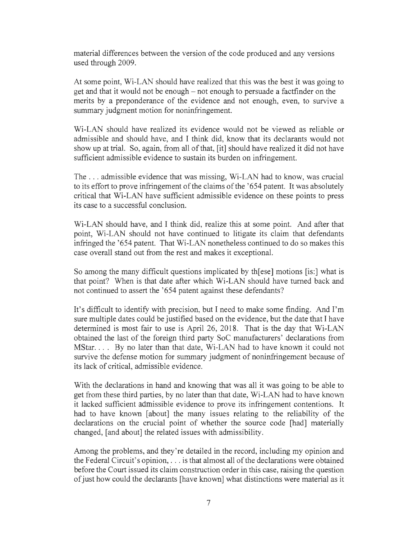material differences between the version of the code produced and any versions used through 2009.

At some point, Wi-LAN should have realized that this was the best it was going to get and that it would not be enough - not enough to persuade a factfinder on the merits by a preponderance of the evidence and not enough, even, to survive a summary judgment motion for noninfringement.

Wi-LAN should have realized its evidence would not be viewed as reliable or admissible and should have, and I think did, know that its declarants would not show up at trial. So, again, from all of that, [it] should have realized it did not have sufficient admissible evidence to sustain its burden on infringement.

The ... admissible evidence that was missing, Wi-LAN had to know, was crucial to its effort to prove infringement of the claims of the '654 patent. It was absolutely critical that Wi-LAN have sufficient admissible evidence on these points to press its case to a successful conclusion.

Wi-LAN should have, and I think did, realize this at some point. And after that point, Wi-LAN should not have continued to litigate its claim that defendants infringed the '654 patent. That Wi-LAN nonetheless continued to do so makes this case overall stand out from the rest and makes it exceptional.

So among the many difficult questions implicated by th[ ese] motions [is:] what is that point? When is that date after which Wi-LAN should have turned back and not continued to assert the '654 patent against these defendants?

It's difficult to identify with precision, but I need to make some finding. And I'm sure multiple dates could be justified based on the evidence, but the date that I have determined is most fair to use is April 26, 2018. That is the day that Wi-LAN obtained the last of the foreign third party SoC manufacturers' declarations from MStar.... By no later than that date, Wi-LAN had to have known it could not survive the defense motion for summary judgment of noninfringement because of its lack of critical, admissible evidence.

With the declarations in hand and knowing that was all it was going to be able to get from these third parties, by no later than that date, Wi-LAN had to have known it lacked sufficient admissible evidence to prove its infringement contentions. It had to have known [about] the many issues relating to the reliability of the declarations on the crucial point of whether the source code [had] materially changed, [and about] the related issues with admissibility.

Among the problems, and they're detailed in the record, including my opinion and the Federal Circuit's opinion, . . . is that almost all of the declarations were obtained before the Court issued its claim construction order in this case, raising the question of just how could the declarants [have known] what distinctions were material as it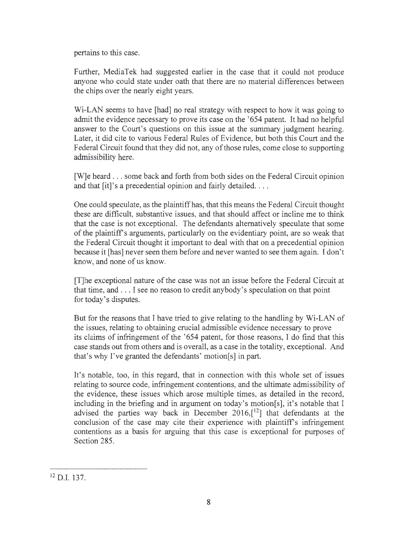pertains to this case.

Further, MediaTek had suggested earlier in the case that it could not produce anyone who could state under oath that there are no material differences between the chips over the nearly eight years.

Wi-LAN seems to have [had] no real strategy with respect to how it was going to admit the evidence necessary to prove its case on the '654 patent. It had no helpful answer to the Court's questions on this issue at the summary judgment hearing. Later, it did cite to various Federal Rules of Evidence, but both this Court and the Federal Circuit found that they did not, any of those rules, come close to supporting admissibility here.

[W]e heard ... some back and forth from both sides on the Federal Circuit opinion and that  $[it]$ 's a precedential opinion and fairly detailed.  $\dots$ 

One could speculate, as the plaintiff has, that this means the Federal Circuit thought these are difficult, substantive issues, and that should affect or incline me to think that the case is not exceptional. The defendants alternatively speculate that some of the plaintiffs arguments, particularly on the evidentiary point, are so weak that the Federal Circuit thought it important to deal with that on a precedential opinion because it [has] never seen them before and never wanted to see them again. I don't know, and none of us know.

[T]he exceptional nature of the case was not an issue before the Federal Circuit at that time, and ... I see no reason to credit anybody's speculation on that point for today's disputes.

But for the reasons that I have tried to give relating to the handling by Wi-LAN of the issues, relating to obtaining crucial admissible evidence necessary to prove its claims of infringement of the '654 patent, for those reasons, I do find that this case stands out from others and is overall, as a case in the totality, exceptional. And that's why I've granted the defendants' motion[s] in part.

It's notable, too, in this regard, that in connection with this whole set of issues relating to source code, infringement contentions, and the ultimate admissibility of the evidence, these issues which arose multiple times, as detailed in the record, including in the briefing and in argument on today's motion[s], it's notable that I advised the parties way back in December  $2016$ ,  $[12]$  that defendants at the conclusion of the case may cite their experience with plaintiffs infringement contentions as a basis for arguing that this case is exceptional for purposes of Section 285.

<sup>12</sup> D.I. 137.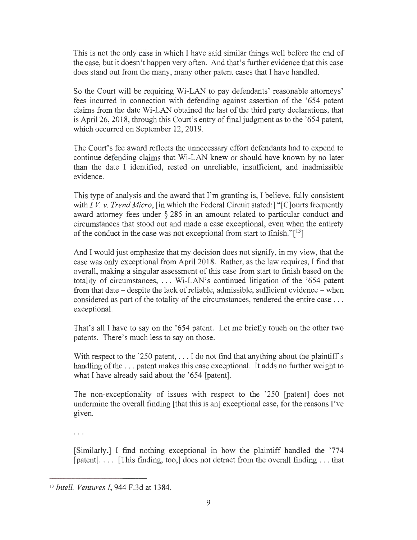This is not the only case in which I have said similar things well before the end of the case, but it doesn't happen very often. And that's further evidence that this case does stand out from the many, many other patent cases that I have handled.

So the Court will be requiring Wi-LAN to pay defendants' reasonable attorneys' fees incurred in connection with defending against assertion of the '654 patent claims from the date Wi-LAN obtained the last of the third party declarations, that is April 26, 2018, through this Court's entry of final judgment as to the '654 patent, which occurred on September 12, 2019.

The Court's fee award reflects the unnecessary effort defendants had to expend to continue defending claims that Wi-LAN knew or should have known by no later than the date I identified, rested on unreliable, insufficient, and inadmissible evidence.

This type of analysis and the award that I'm granting is, I believe, fully consistent with *I.V. v. Trend Micro*, [in which the Federal Circuit stated:] "[C]ourts frequently award attorney fees under  $\S 285$  in an amount related to particular conduct and circumstances that stood out and made a case exceptional, even when the entirety of the conduct in the case was not exceptional from start to finish." $[13]$ 

And I would just emphasize that my decision does not signify, in my view, that the case was only exceptional from April 2018. Rather, as the law requires, I find that overall, making a singular assessment of this case from start to finish based on the totality of circumstances, . .. Wi-LAN's continued litigation of the '654 patent from that date  $-$  despite the lack of reliable, admissible, sufficient evidence  $-$  when considered as part of the totality of the circumstances, rendered the entire case ... exceptional.

That's all I have to say on the '654 patent. Let me briefly touch on the other two patents. There's much less to say on those.

With respect to the '250 patent,  $\dots$  I do not find that anything about the plaintiff's handling of the ... patent makes this case exceptional. It adds no further weight to what I have already said about the '654 [patent].

The non-exceptionality of issues with respect to the '250 [patent] does not undermine the overall finding [that this is an] exceptional case, for the reasons I've given.

 $\cdots$ 

[Similarly,] I find nothing exceptional in how the plaintiff handled the '774 [patent].... [This finding, too,] does not detract from the overall finding ... that

<sup>13</sup>*Intel!. Ventures I,* 944 F.3d at 1384.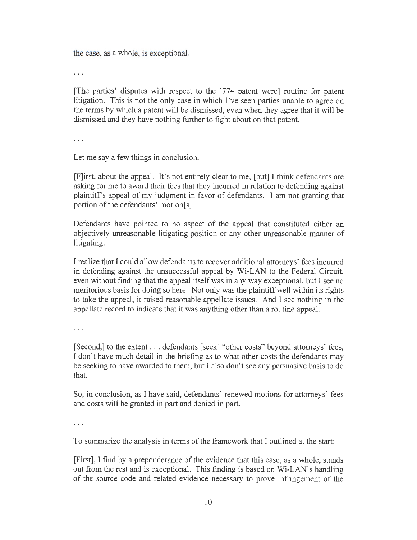the case, as a whole, is exceptional.

 $\ldots$ 

[The parties' disputes with respect to the '774 patent were] routine for patent litigation. This is not the only case in which I've seen parties unable to agree on the terms by which a patent will be dismissed, even when they agree that it will be dismissed and they have nothing further to fight about on that patent.

 $\cdots$ 

Let me say a few things in conclusion.

[F]irst, about the appeal. It's not entirely clear to me, [but] I think defendants are asking for me to award their fees that they incurred in relation to defending against plaintiffs appeal of my judgment in favor of defendants. I am not granting that portion of the defendants' motion[s].

Defendants have pointed to no aspect of the appeal that constituted either an objectively unreasonable litigating position or any other unreasonable manner of litigating.

I realize that I could allow defendants to recover additional attorneys' fees incurred in defending against the unsuccessful appeal by Wi-LAN to the Federal Circuit, even without finding that the appeal itself was in any way exceptional, but I see no meritorious basis for doing so here. Not only was the plaintiff well within its rights to take the appeal, it raised reasonable appellate issues. And I see nothing in the appellate record to indicate that it was anything other than a routine appeal.

 $\cdots$ 

[Second,] to the extent ... defendants [seek] "other costs" beyond attorneys' fees, I don't have much detail in the briefing as to what other costs the defendants may be seeking to have awarded to them, but I also don't see any persuasive basis to do that.

So, in conclusion, as I have said, defendants' renewed motions for attorneys' fees and costs will be granted in part and denied in part.

 $\cdots$ 

To summarize the analysis in terms of the framework that I outlined at the start:

[First], I find by a preponderance of the evidence that this case, as a whole, stands out from the rest and is exceptional. This finding is based on Wi-LAN's handling of the source code and related evidence necessary to prove infringement of the